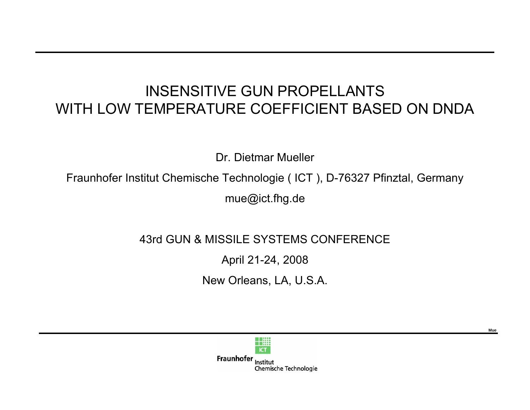# INSENSITIVE GUN PROPELLANTS WITH LOW TEMPERATURE COEFFICIENT BASED ON DNDA

Dr. Dietmar Mueller

Fraunhofer Institut Chemische Technologie ( ICT ), D-76327 Pfinztal, Germany

mue@ict.fhg.de

#### 43rd GUN & MISSILE SYSTEMS CONFERENCE

April 21-24, 2008

New Orleans, LA, U.S.A.

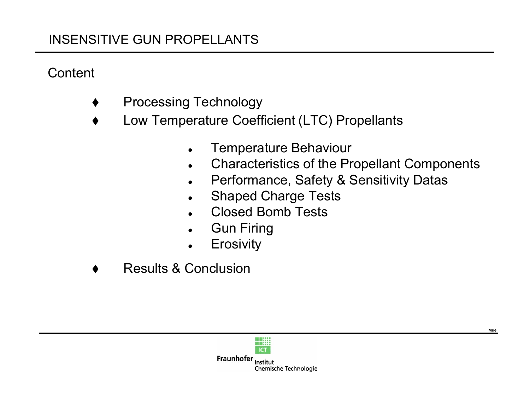**Content** 

- ♦ Processing Technology
- ♦ Low Temperature Coefficient (LTC) Propellants
	- $\bullet$ Temperature Behaviour
	- $\bullet$ Characteristics of the Propellant Components
	- $\bullet$ Performance, Safety & Sensitivity Datas
	- ●Shaped Charge Tests
	- ●Closed Bomb Tests
	- $\bullet$ Gun Firing
	- ●**Erosivity**
- ♦ Results & Conclusion

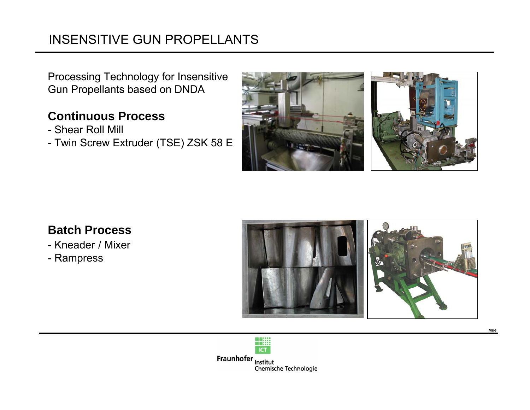Processing Technology for Insensitive Gun Propellants based on DNDA

#### **Continuous Process**

- Shear Roll Mill
- Twin Screw Extruder (TSE) ZSK 58 E



#### **Batch Process**

- Kneader / Mixer
- Rampress



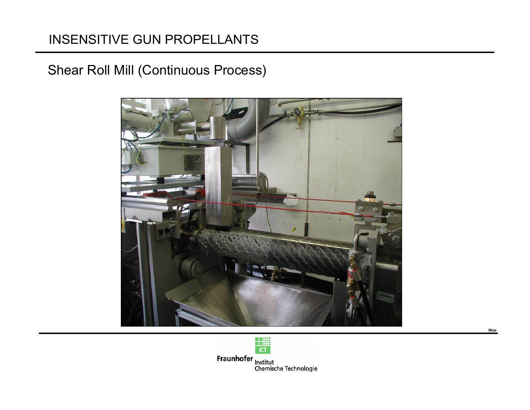#### Shear Roll Mill (Continuous Process)



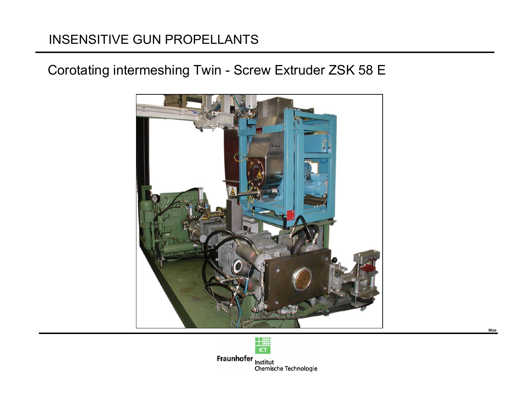#### Corotating intermeshing Twin - Screw Extruder ZSK 58 E



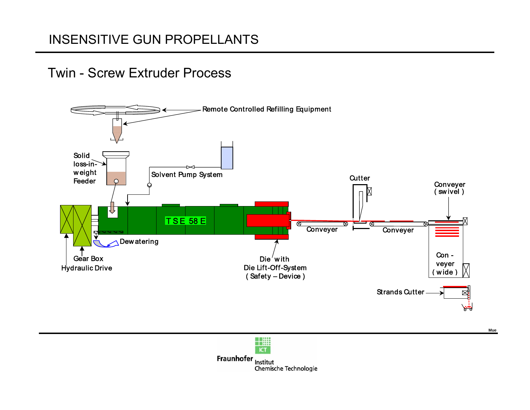Twin - Screw Extruder Process

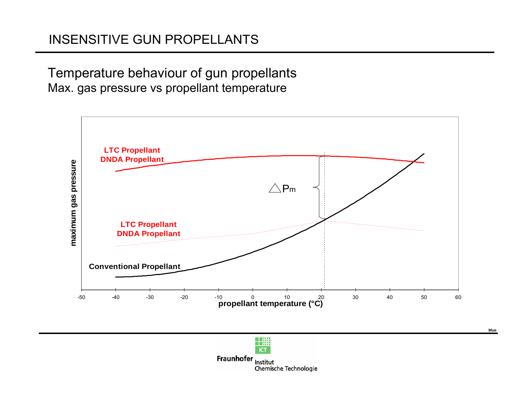Temperature behaviour of gun propellants Max. gas pressure vs propellant temperature

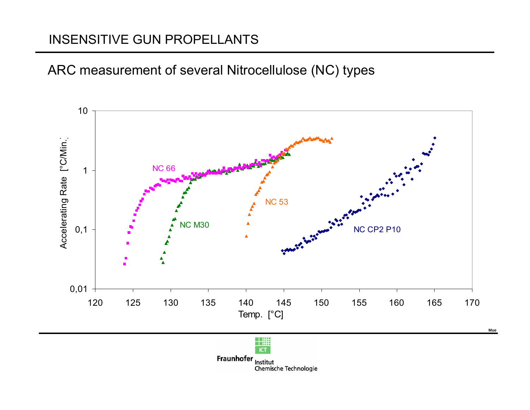## ARC measurement of several Nitrocellulose (NC) types

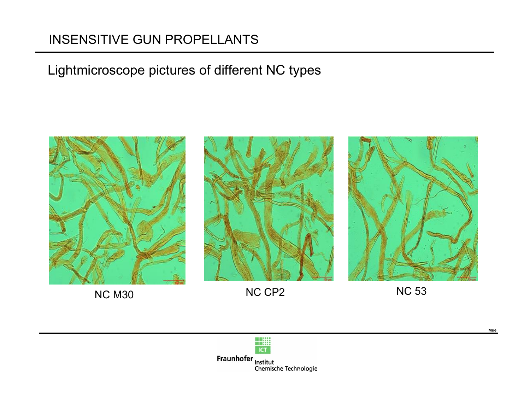## Lightmicroscope pictures of different NC types



NC M30



NC CP2 NC 53



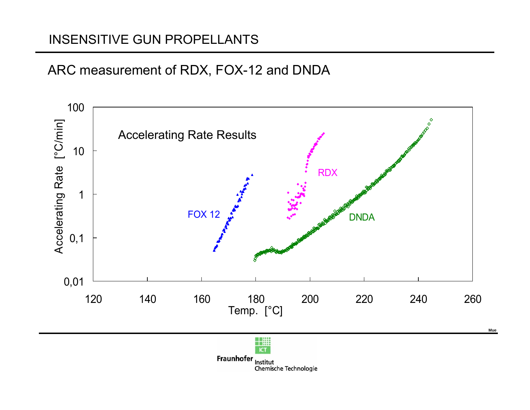# ARC measurement of RDX, FOX-12 and DNDA

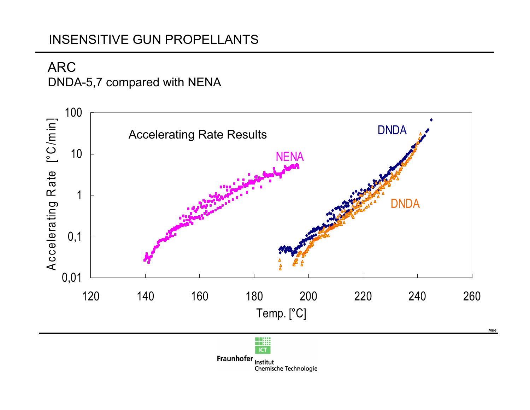## ARC DNDA-5,7 compared with NENA

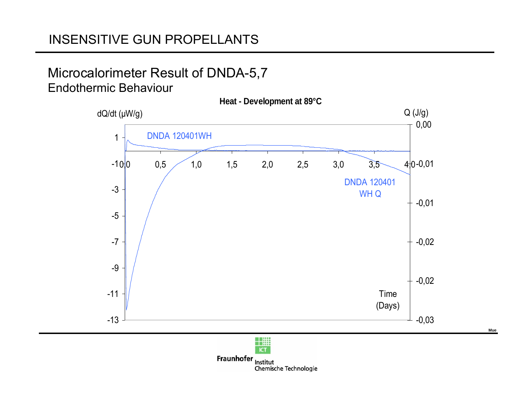## Microcalorimeter Result of DNDA-5,7 Endothermic Behaviour



Fraunhofer Institut Chemische Technologie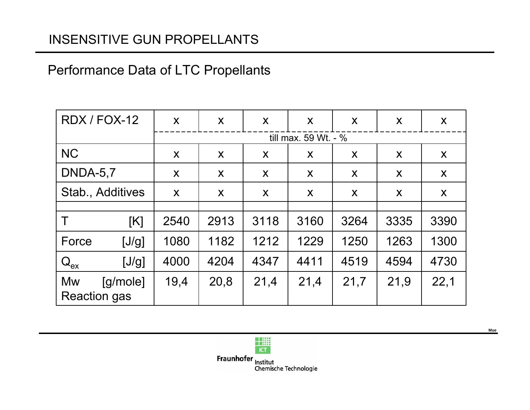# Performance Data of LTC Propellants

| RDX / FOX-12     |                                 | X                    | X    | X    | X    | X    | X    | X    |  |  |
|------------------|---------------------------------|----------------------|------|------|------|------|------|------|--|--|
|                  |                                 | till max. 59 Wt. - % |      |      |      |      |      |      |  |  |
| <b>NC</b>        |                                 | X                    | X    | X    | X    | X    | X    | X    |  |  |
| <b>DNDA-5,7</b>  |                                 | X                    | X    | X    | X    | X    | X    | X    |  |  |
| Stab., Additives |                                 | X                    | X    | X    | X    | X    | X    | X    |  |  |
|                  |                                 |                      |      |      |      |      |      |      |  |  |
|                  | [K]                             | 2540                 | 2913 | 3118 | 3160 | 3264 | 3335 | 3390 |  |  |
| Force            | [J/g]                           | 1080                 | 1182 | 1212 | 1229 | 1250 | 1263 | 1300 |  |  |
| $Q_{ex}$         | [J/g]                           | 4000                 | 4204 | 4347 | 4411 | 4519 | 4594 | 4730 |  |  |
| Mw               | [g/mole]<br><b>Reaction gas</b> | 19,4                 | 20,8 | 21,4 | 21,4 | 21,7 | 21,9 | 22,1 |  |  |



Chemische Technologie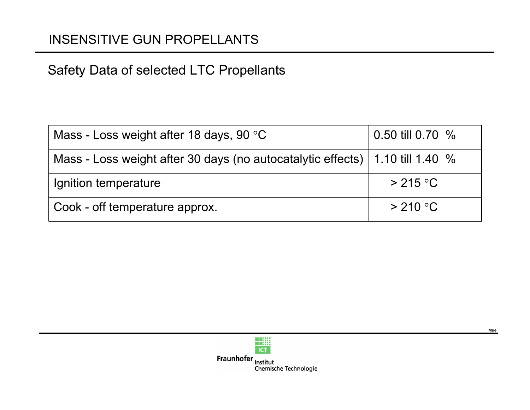# Safety Data of selected LTC Propellants

| Mass - Loss weight after 18 days, 90 $\mathrm{^{\circ}C}$                      | 0.50 till $0.70\%$ |
|--------------------------------------------------------------------------------|--------------------|
| Mass - Loss weight after 30 days (no autocatalytic effects)   1.10 till 1.40 % |                    |
| Ignition temperature                                                           | > 215 °C           |
| Cook - off temperature approx.                                                 | > 210 °C           |

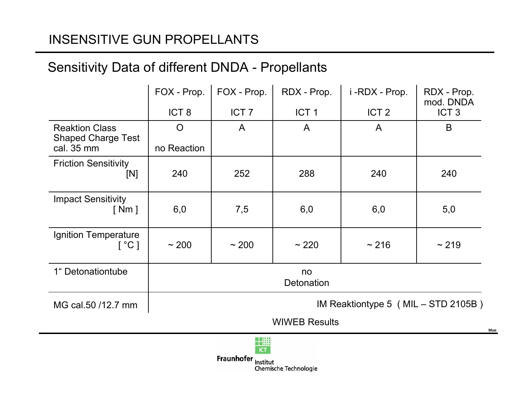## Sensitivity Data of different DNDA - Propellants

|                                                                  | FOX - Prop.<br>ICT <sub>8</sub>         | FOX - Prop.<br>ICT <sub>7</sub> | RDX - Prop.<br>ICT <sub>1</sub> | i-RDX - Prop.<br>ICT <sub>2</sub> | RDX - Prop.<br>mod. DNDA<br>ICT <sub>3</sub> |  |  |  |
|------------------------------------------------------------------|-----------------------------------------|---------------------------------|---------------------------------|-----------------------------------|----------------------------------------------|--|--|--|
| <b>Reaktion Class</b><br><b>Shaped Charge Test</b><br>cal. 35 mm | O<br>no Reaction                        | $\mathsf{A}$                    | $\overline{A}$                  | A                                 | B                                            |  |  |  |
| <b>Friction Sensitivity</b><br>[N]                               | 240                                     | 252                             | 288                             | 240                               | 240                                          |  |  |  |
| <b>Impact Sensitivity</b><br>[ Nm ]                              | 6,0                                     | 7,5                             | 6,0                             | 6,0                               | 5,0                                          |  |  |  |
| Ignition Temperature<br>$[^{\circ}C]$                            | $~1$ 200                                | ~200                            | ~220                            | ~216                              | ~219                                         |  |  |  |
| 1" Detonationtube                                                | no<br>Detonation                        |                                 |                                 |                                   |                                              |  |  |  |
| MG cal.50 /12.7 mm                                               | IM Reaktiontype $5$ (MIL $-$ STD 2105B) |                                 |                                 |                                   |                                              |  |  |  |

WIWEB Results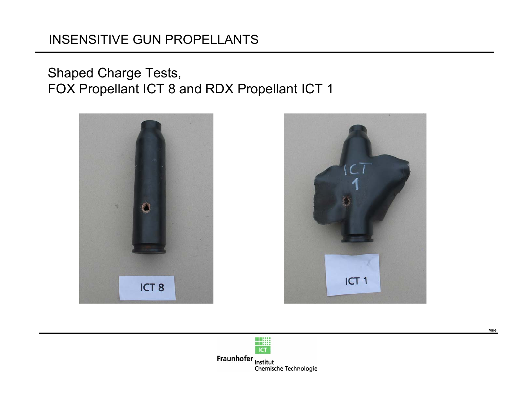# Shaped Charge Tests, FOX Propellant ICT 8 and RDX Propellant ICT 1





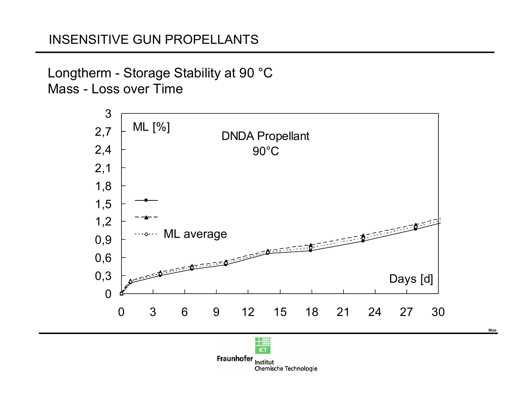Longtherm - Storage Stability at 90 °C Mass - Loss over Time



Fraunhofer Institut Chemische Technologie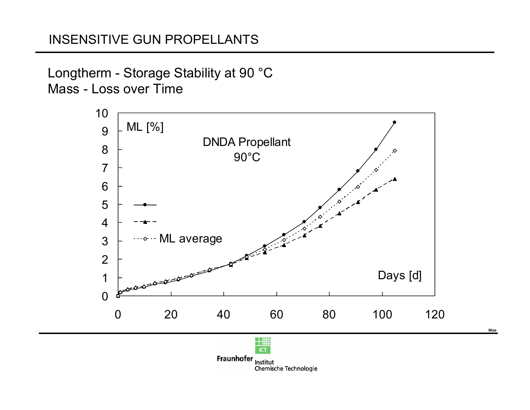Longtherm - Storage Stability at 90 °C Mass - Loss over Time



Chemische Technologie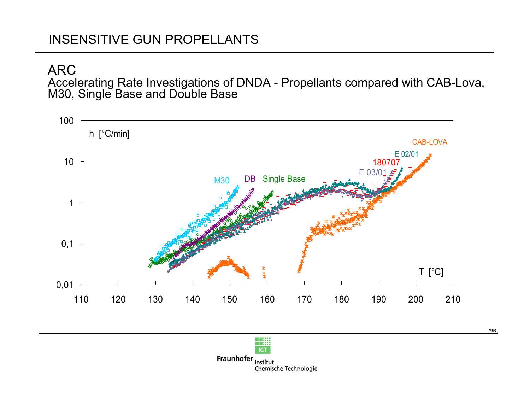#### ARC

Accelerating Rate Investigations of DNDA - Propellants compared with CAB-Lova, M30, Single Base and Double Base





Fraunhofer Institut Chemische Technologie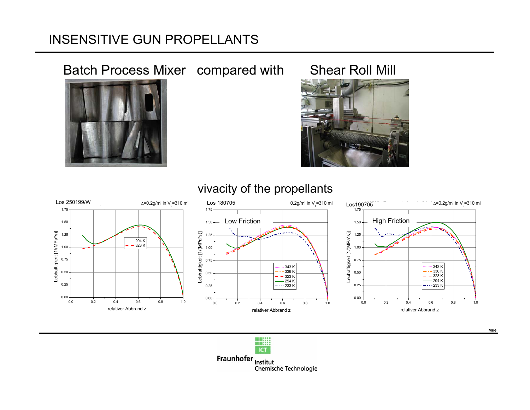Batch Process Mixer compared with Shear Roll Mill





#### Los 250199/W  $\Delta = 0.2$ g/ml in V<sub>e</sub>=310 ml  $0.2$ g/ml in V<sub>b</sub>=310 ml  $\Delta = 0.2$ g/ml in V<sub>s</sub>=310 ml Los 180705 Los190705 1.751.75 1.75 High FrictionLow Friction1.501.501.50 Lebhaftigkeit [1/(MPa\*s)] Lebhaftigkeit [1/(MPa\*s)] -ebhaftigkeit [1/(MPa\*s)] Lebhaftigkeit [1/(MPa\*s)] Lebhaftigkeit [1/(MPa\*s)] Lebhaftigkeit [1/(MPa\*s)] 1.251.25 1.25  $-294k$  323 K1.001.001.00 0.750.750.75 343 K $\cdot$  343 K 336 K 336 K0.50 0.500.50 323 K 323 K 294 K 294 K0.25 233 K0.25  $-233 K$ 0.25 0.000.00 0.00 0.00.0 0.2 0.4 0.6 0.8 1.0 0.0 0.2 0.4 0.6 0.8 1.0 0.2 0.4 0.6 0.8 1.0 relativer Abbrand zrelativer Abbrand zrelativer Abbrand z

#### vivacity of the propellants

**ICT** Fraunhofer Institut Chemische Technologie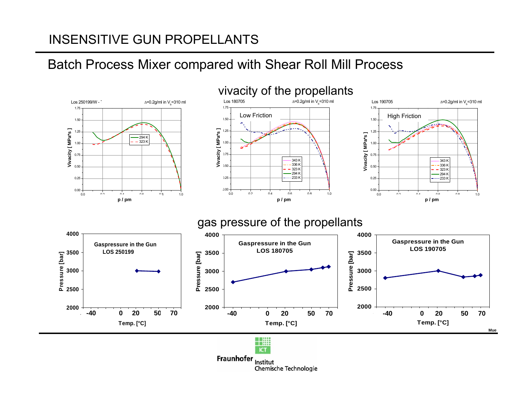#### Batch Process Mixer compared with Shear Roll Mill Process





Institut Chemische Technologie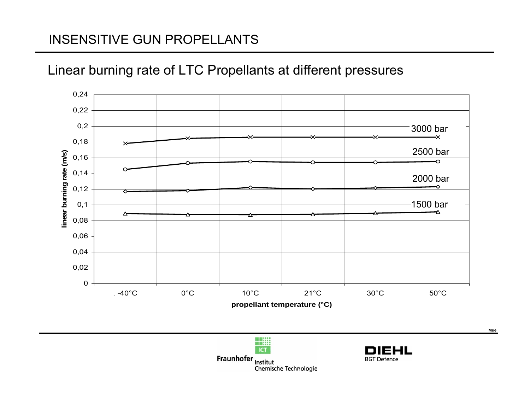#### Linear burning rate of LTC Propellants at different pressures



88!!!! **ICT** Fraunhofer Institut Chemische Technologie

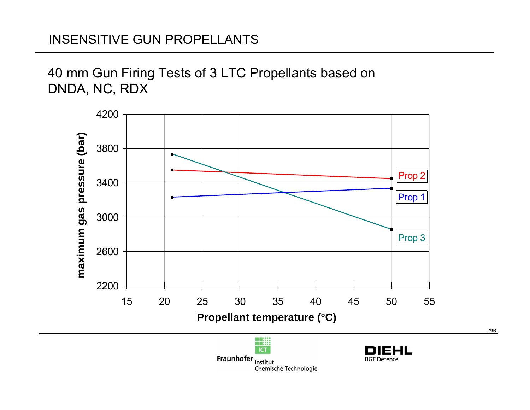# 40 mm Gun Firing Tests of 3 LTC Propellants based on DNDA, NC, RDX



Chemische Technologie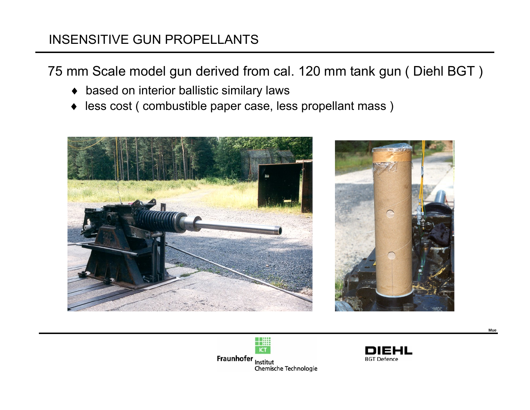75 mm Scale model gun derived from cal. 120 mm tank gun ( Diehl BGT )

- ♦ based on interior ballistic similary laws
- ♦less cost ( combustible paper case, less propellant mass )







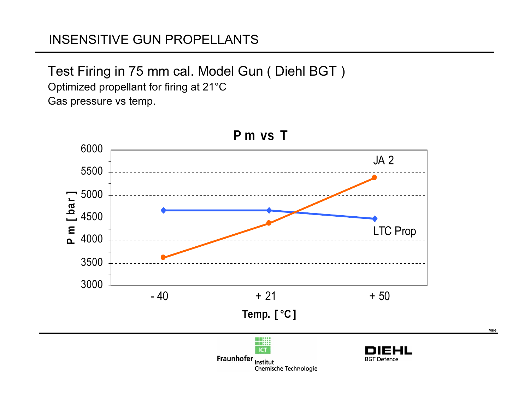Test Firing in 75 mm cal. Model Gun ( Diehl BGT ) Optimized propellant for firing at 21°C Gas pressure vs temp.

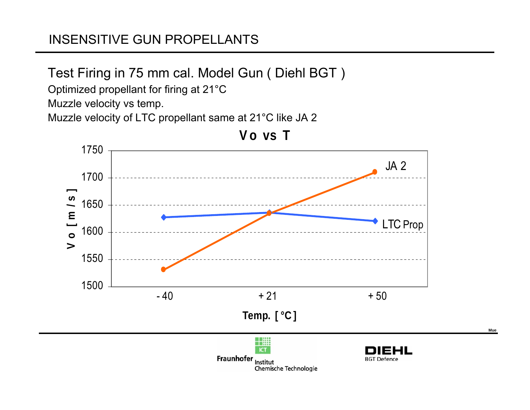Test Firing in 75 mm cal. Model Gun ( Diehl BGT )

Optimized propellant for firing at 21°C

Muzzle velocity vs temp.

Muzzle velocity of LTC propellant same at 21°C like JA 2

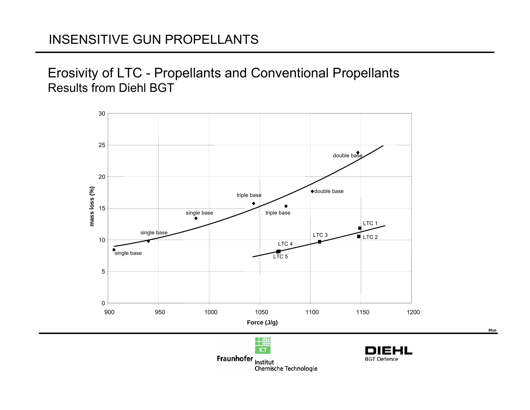#### Erosivity of LTC - Propellants and Conventional Propellants Results from Diehl BGT



Fraunhofer Institut Chemische Technologie